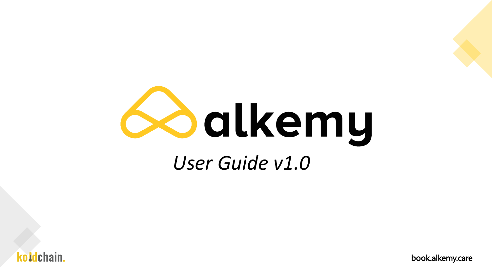



book.alkemy.care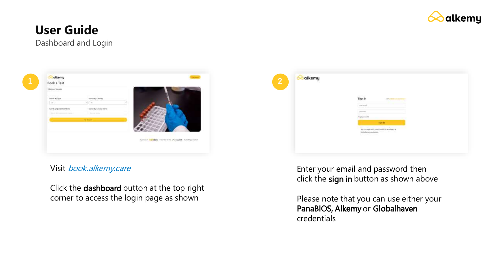

Dashboard and Login



Visit book.alkemy.care

Click the dashboard button at the top right corner to access the login page as shown

| $\overline{2}$ | alkemy |                                                                                                                                                                                                                                                                                                                                                     |
|----------------|--------|-----------------------------------------------------------------------------------------------------------------------------------------------------------------------------------------------------------------------------------------------------------------------------------------------------------------------------------------------------|
|                |        | Sign in<br><b>NE CHAIR OR DISTRICT</b>                                                                                                                                                                                                                                                                                                              |
|                |        | Continued                                                                                                                                                                                                                                                                                                                                           |
|                |        | $\begin{picture}(20,20) \put(0,0){\line(1,0){10}} \put(15,0){\line(1,0){10}} \put(15,0){\line(1,0){10}} \put(15,0){\line(1,0){10}} \put(15,0){\line(1,0){10}} \put(15,0){\line(1,0){10}} \put(15,0){\line(1,0){10}} \put(15,0){\line(1,0){10}} \put(15,0){\line(1,0){10}} \put(15,0){\line(1,0){10}} \put(15,0){\line(1,0){10}} \put(15,0){\line(1$ |
|                |        |                                                                                                                                                                                                                                                                                                                                                     |
|                |        | <b>SANT BY</b>                                                                                                                                                                                                                                                                                                                                      |
|                |        | Vacascings with your Paudillity or Alicens or<br>Globalize as creditation.<br>20 metal 19                                                                                                                                                                                                                                                           |
|                |        | <b>STATISTICS</b>                                                                                                                                                                                                                                                                                                                                   |
|                |        |                                                                                                                                                                                                                                                                                                                                                     |
|                |        |                                                                                                                                                                                                                                                                                                                                                     |

Enter your email and password then click the sign in button as shown above

Please note that you can use either your PanaBIOS, Alkemy or Globalhaven credentials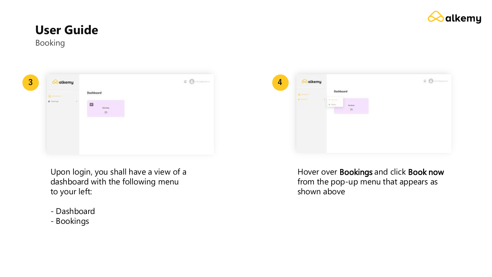

Booking



Upon login, you shall have a view of a dashboard with the following menu to your left:

- Dashboard
- Bookings



Hover over Bookings and click Book now from the pop-up menu that appears as shown above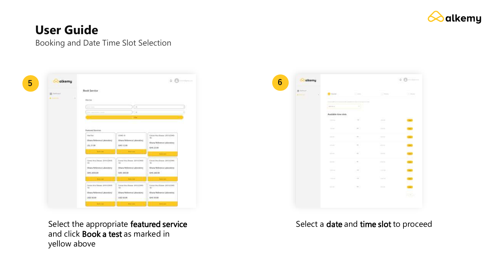

#### Booking and Date Time Slot Selection

| <b>III</b> bettered<br><b>Britannic</b> | <b>Book Service</b><br>Filter Use                                              |                                                                                                                                                                                                                                      |                                                                                                       |
|-----------------------------------------|--------------------------------------------------------------------------------|--------------------------------------------------------------------------------------------------------------------------------------------------------------------------------------------------------------------------------------|-------------------------------------------------------------------------------------------------------|
|                                         | <b>Public Council</b>                                                          | $\sim$                                                                                                                                                                                                                               |                                                                                                       |
|                                         | <b>Herman</b>                                                                  | $\rightarrow$                                                                                                                                                                                                                        |                                                                                                       |
|                                         |                                                                                | <b>STAR</b>                                                                                                                                                                                                                          |                                                                                                       |
|                                         | Vaar Kon<br>(Shana Belisminat Laboratory)<br>1.52,21.00<br><b>Service</b>      | COM3.19<br>filters Reference Lideratory.<br>04511.00<br><b>Colored State</b>                                                                                                                                                         | Coroos Vittor Giassue, 2410 (CD/R)-<br>167<br>Ghora Reference Laboratory<br>016.2138<br><b>Andrew</b> |
|                                         | Crewer West Disease- 2019 (COVID-                                              | Cornel Vica Branco, 2014 (CRUS-<br>THE R. P. LEWIS CO., LANSING MICH.                                                                                                                                                                | Corons Villa Glueza 2019 (CDWS)<br><b>Moulter</b> the country                                         |
|                                         | <b>NEW ARRANGEMENT COMMON</b>                                                  |                                                                                                                                                                                                                                      |                                                                                                       |
|                                         | Iblians Reference Laboratory                                                   | <b>Ohana Reference Laboratory</b>                                                                                                                                                                                                    | Ohara Reference Labourger                                                                             |
|                                         | <b>IMS 2050.00</b>                                                             | <b>SOUTH 1999</b>                                                                                                                                                                                                                    | GH5 240 05                                                                                            |
|                                         | <b>Service</b>                                                                 | <b>Contract Contract Contract Contract Contract Contract Contract Contract Contract Contract Contract Contract Contract Contract Contract Contract Contract Contract Contract Contract Contract Contract Contract Contract Contr</b> | <b>Contract Anderson</b>                                                                              |
|                                         | Carona Wive Drawer: (899 1539) 81-<br><b>PERSONAL PROPERTY AND ARRANGEMENT</b> | Locald Vivia Breese, JUST JUNEA.<br>MEGASCO                                                                                                                                                                                          | Control Villa (Boxee: 2572 (CDW).<br>and the control of the control                                   |
|                                         | Chans Reference Laboratory                                                     | Chara Reference Laboratory                                                                                                                                                                                                           | <b>Chara Reference Leboratory</b>                                                                     |

Select the appropriate featured service and click Book a test as marked in yellow above

| <b>BE SHOWN</b> | o pro                                      |                                       |                   |              |
|-----------------|--------------------------------------------|---------------------------------------|-------------------|--------------|
| <b>ALCOHOL:</b> | <b>California and Links</b>                | $\sim$                                | $\sim$            | <b>COMME</b> |
|                 | --                                         | -----                                 |                   |              |
|                 | $rac{1}{2}$                                | ۹                                     |                   |              |
|                 | Austidale time sion:<br>ma an a<br>200 Mil |                                       |                   |              |
|                 | <b>COMPANY</b>                             | $-41$                                 | $-3.31$<br>÷      |              |
|                 | <b>COLOR</b>                               | Transfer                              | <b>COMMERCIAL</b> |              |
|                 | <b>COLOR</b>                               | TO.                                   | <b>STATE</b>      | $\sim$       |
|                 | and and<br>- 1                             | $\rightarrow$<br>ħ,                   | caberant          |              |
|                 | W.                                         | <b>Call</b>                           | <b>Contractor</b> |              |
|                 | $100 - 100$                                | $\mathcal{F}_{\mathcal{F}}$           | <b>STATISTICS</b> |              |
|                 | <b>Selection</b><br>24                     | $\mathbb{R}^n$<br>$\rightarrow$<br>59 | <b>CONTRACTOR</b> |              |
|                 | <b>COLLEGE</b>                             | -28                                   | <b>Service</b>    |              |
|                 | <b>COLOR</b>                               | $-97.1$                               | <b>DOM:</b>       |              |
|                 |                                            |                                       |                   |              |

#### Select a date and time slot to proceed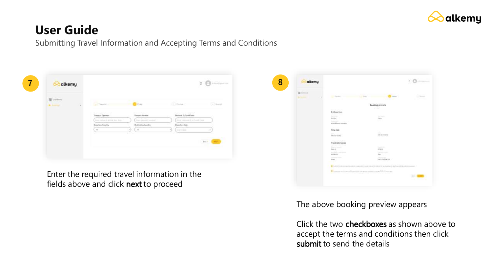

Submitting Travel Information and Accepting Terms and Conditions



Enter the required travel information in the fields above and click next to proceed



The above booking preview appears

Click the two checkboxes as shown above to accept the terms and conditions then click submit to send the details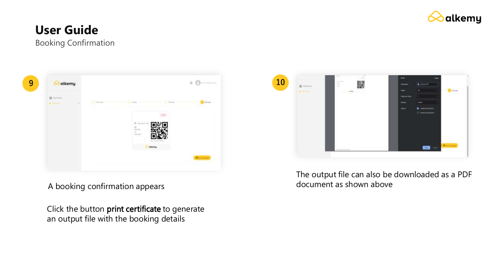

### **User Guide** Booking Confirmation

**9 10 B** twinned **O** faces of

A booking confirmation appears

Click the button print certificate to generate an output file with the booking details



The output file can also be downloaded as a PDF document as shown above